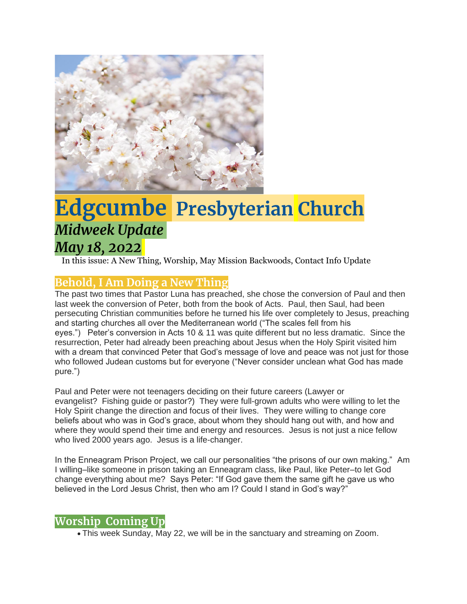

# **Edgcumbe Presbyterian Church** *Midweek Update May 18, 2022*

In this issue: A New Thing, Worship, May Mission Backwoods, Contact Info Update

## **Behold, I Am Doing a New Thing**

The past two times that Pastor Luna has preached, she chose the conversion of Paul and then last week the conversion of Peter, both from the book of Acts. Paul, then Saul, had been persecuting Christian communities before he turned his life over completely to Jesus, preaching and starting churches all over the Mediterranean world ("The scales fell from his eyes.") Peter's conversion in Acts 10 & 11 was quite different but no less dramatic. Since the resurrection, Peter had already been preaching about Jesus when the Holy Spirit visited him with a dream that convinced Peter that God's message of love and peace was not just for those who followed Judean customs but for everyone ("Never consider unclean what God has made pure.")

Paul and Peter were not teenagers deciding on their future careers (Lawyer or evangelist? Fishing guide or pastor?) They were full-grown adults who were willing to let the Holy Spirit change the direction and focus of their lives. They were willing to change core beliefs about who was in God's grace, about whom they should hang out with, and how and where they would spend their time and energy and resources. Jesus is not just a nice fellow who lived 2000 years ago. Jesus is a life-changer.

In the Enneagram Prison Project, we call our personalities "the prisons of our own making." Am I willing–like someone in prison taking an Enneagram class, like Paul, like Peter–to let God change everything about me? Says Peter: "If God gave them the same gift he gave us who believed in the Lord Jesus Christ, then who am I? Could I stand in God's way?"

### **Worship Coming Up**

• This week Sunday, May 22, we will be in the sanctuary and streaming on Zoom.